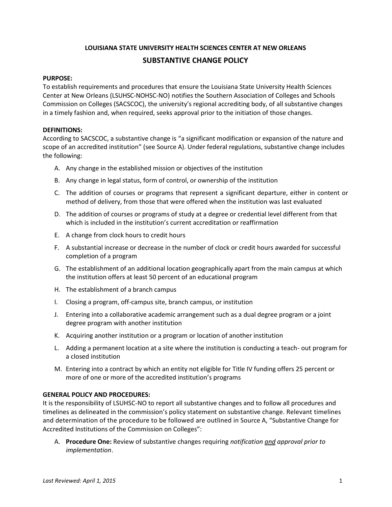### **LOUISIANA STATE UNIVERSITY HEALTH SCIENCES CENTER AT NEW ORLEANS**

# **SUBSTANTIVE CHANGE POLICY**

#### **PURPOSE:**

To establish requirements and procedures that ensure the Louisiana State University Health Sciences Center at New Orleans (LSUHSC-NOHSC-NO) notifies the Southern Association of Colleges and Schools Commission on Colleges (SACSCOC), the university's regional accrediting body, of all substantive changes in a timely fashion and, when required, seeks approval prior to the initiation of those changes.

#### **DEFINITIONS:**

According to SACSCOC, a substantive change is "a significant modification or expansion of the nature and scope of an accredited institution" (see Source A). Under federal regulations, substantive change includes the following:

- A. Any change in the established mission or objectives of the institution
- B. Any change in legal status, form of control, or ownership of the institution
- C. The addition of courses or programs that represent a significant departure, either in content or method of delivery, from those that were offered when the institution was last evaluated
- D. The addition of courses or programs of study at a degree or credential level different from that which is included in the institution's current accreditation or reaffirmation
- E. A change from clock hours to credit hours
- F. A substantial increase or decrease in the number of clock or credit hours awarded for successful completion of a program
- G. The establishment of an additional location geographically apart from the main campus at which the institution offers at least 50 percent of an educational program
- H. The establishment of a branch campus
- I. Closing a program, off-campus site, branch campus, or institution
- J. Entering into a collaborative academic arrangement such as a dual degree program or a joint degree program with another institution
- K. Acquiring another institution or a program or location of another institution
- L. Adding a permanent location at a site where the institution is conducting a teach- out program for a closed institution
- M. Entering into a contract by which an entity not eligible for Title IV funding offers 25 percent or more of one or more of the accredited institution's programs

### **GENERAL POLICY AND PROCEDURES:**

It is the responsibility of LSUHSC-NO to report all substantive changes and to follow all procedures and timelines as delineated in the commission's policy statement on substantive change. Relevant timelines and determination of the procedure to be followed are outlined in Source A, "Substantive Change for Accredited Institutions of the Commission on Colleges":

A. **Procedure One:** Review of substantive changes requiring *notification and approval prior to implementation*.